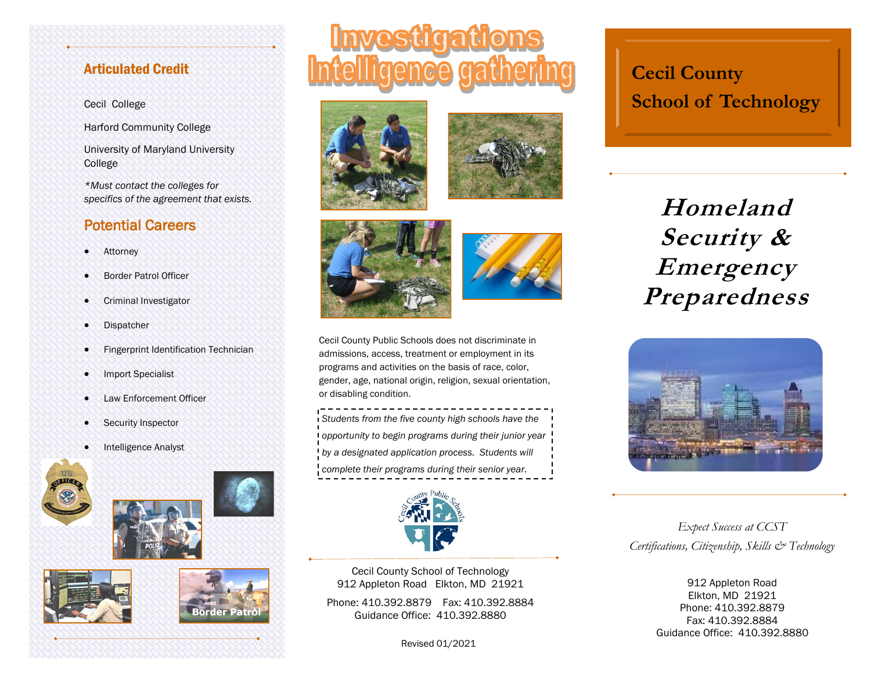## Articulated Credit

### Cecil College

Harford Community College

University of Maryland University College

*\*Must contact the colleges for specifics of the agreement that exists.*

## Potential Careers

- Attorney
- Border Patrol Officer
- Criminal Investigator
- **Dispatcher**
- Fingerprint Identification Technician
- Import Specialist
- Law Enforcement Officer
- Security Inspector
- Intelligence Analyst

















Cecil County Public Schools does not discriminate in admissions, access, treatment or employment in its programs and activities on the basis of race, color, gender, age, national origin, religion, sexual orientation, or disabling condition.

*Students from the five county high schools have the opportunity to begin programs during their junior year by a designated application process. Students will complete their programs during their senior year.*



Cecil County School of Technology 912 Appleton Road Elkton, MD 21921

Phone: 410.392.8879 Fax: 410.392.8884 Guidance Office: 410.392.8880

Revised 01/2021

# **Cecil County School of Technology**

**Homeland Security & Emergency Preparedness**



*Expect Success at CCST Certifications, Citizenship, Skills & Technology*

> 912 Appleton Road Elkton, MD 21921 Phone: 410.392.8879 Fax: 410.392.8884 Guidance Office: 410.392.8880